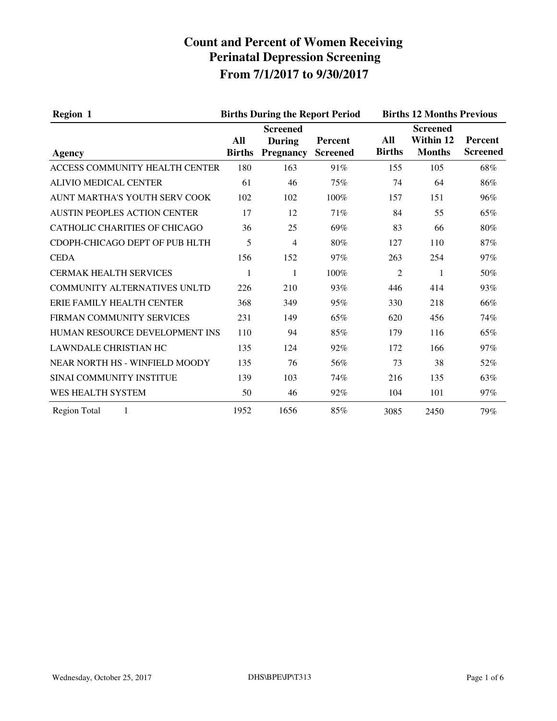| <b>Region 1</b>                      |                      | <b>Births During the Report Period</b>               |                                   | <b>Births 12 Months Previous</b> |                                               |                                   |
|--------------------------------------|----------------------|------------------------------------------------------|-----------------------------------|----------------------------------|-----------------------------------------------|-----------------------------------|
| Agency                               | All<br><b>Births</b> | <b>Screened</b><br><b>During</b><br><b>Pregnancy</b> | <b>Percent</b><br><b>Screened</b> | All<br><b>Births</b>             | <b>Screened</b><br>Within 12<br><b>Months</b> | <b>Percent</b><br><b>Screened</b> |
| ACCESS COMMUNITY HEALTH CENTER       | 180                  | 163                                                  | 91%                               | 155                              | 105                                           | 68%                               |
| <b>ALIVIO MEDICAL CENTER</b>         | 61                   | 46                                                   | 75%                               | 74                               | 64                                            | 86%                               |
| AUNT MARTHA'S YOUTH SERV COOK        | 102                  | 102                                                  | 100%                              | 157                              | 151                                           | 96%                               |
| <b>AUSTIN PEOPLES ACTION CENTER</b>  | 17                   | 12                                                   | 71%                               | 84                               | 55                                            | 65%                               |
| <b>CATHOLIC CHARITIES OF CHICAGO</b> | 36                   | 25                                                   | 69%                               | 83                               | 66                                            | 80%                               |
| CDOPH-CHICAGO DEPT OF PUB HLTH       | 5                    | $\overline{4}$                                       | 80%                               | 127                              | 110                                           | 87%                               |
| <b>CEDA</b>                          | 156                  | 152                                                  | 97%                               | 263                              | 254                                           | 97%                               |
| <b>CERMAK HEALTH SERVICES</b>        | 1                    | 1                                                    | 100%                              | $\overline{2}$                   | 1                                             | 50%                               |
| <b>COMMUNITY ALTERNATIVES UNLTD</b>  | 226                  | 210                                                  | 93%                               | 446                              | 414                                           | 93%                               |
| ERIE FAMILY HEALTH CENTER            | 368                  | 349                                                  | 95%                               | 330                              | 218                                           | 66%                               |
| FIRMAN COMMUNITY SERVICES            | 231                  | 149                                                  | 65%                               | 620                              | 456                                           | 74%                               |
| HUMAN RESOURCE DEVELOPMENT INS       | 110                  | 94                                                   | 85%                               | 179                              | 116                                           | 65%                               |
| <b>LAWNDALE CHRISTIAN HC</b>         | 135                  | 124                                                  | 92%                               | 172                              | 166                                           | 97%                               |
| NEAR NORTH HS - WINFIELD MOODY       | 135                  | 76                                                   | 56%                               | 73                               | 38                                            | 52%                               |
| SINAI COMMUNITY INSTITUE             | 139                  | 103                                                  | 74%                               | 216                              | 135                                           | 63%                               |
| <b>WES HEALTH SYSTEM</b>             | 50                   | 46                                                   | 92%                               | 104                              | 101                                           | 97%                               |
| <b>Region Total</b><br>1             | 1952                 | 1656                                                 | 85%                               | 3085                             | 2450                                          | 79%                               |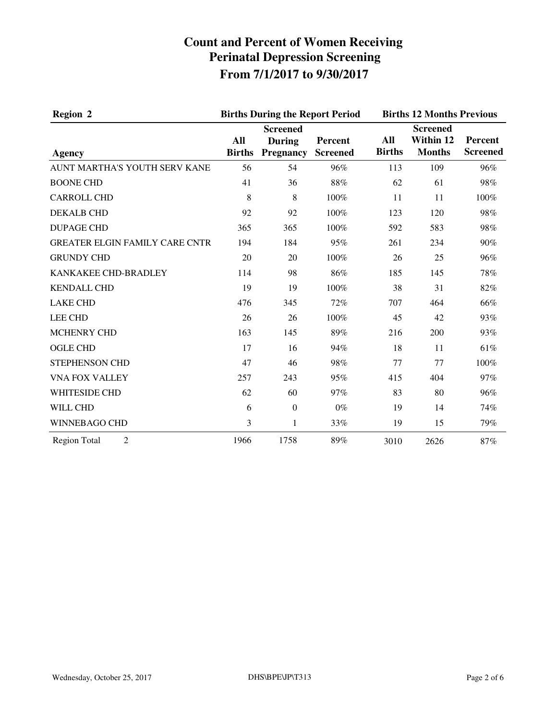| <b>Region 2</b>                       |                      | <b>Births During the Report Period</b>               |                            | <b>Births 12 Months Previous</b> |                                               |                            |
|---------------------------------------|----------------------|------------------------------------------------------|----------------------------|----------------------------------|-----------------------------------------------|----------------------------|
| <b>Agency</b>                         | All<br><b>Births</b> | <b>Screened</b><br><b>During</b><br><b>Pregnancy</b> | Percent<br><b>Screened</b> | All<br><b>Births</b>             | <b>Screened</b><br>Within 12<br><b>Months</b> | Percent<br><b>Screened</b> |
| AUNT MARTHA'S YOUTH SERV KANE         | 56                   | 54                                                   | 96%                        | 113                              | 109                                           | 96%                        |
| <b>BOONE CHD</b>                      | 41                   | 36                                                   | 88%                        | 62                               | 61                                            | 98%                        |
| <b>CARROLL CHD</b>                    | 8                    | 8                                                    | 100%                       | 11                               | 11                                            | 100%                       |
| <b>DEKALB CHD</b>                     | 92                   | 92                                                   | 100%                       | 123                              | 120                                           | 98%                        |
| <b>DUPAGE CHD</b>                     | 365                  | 365                                                  | 100%                       | 592                              | 583                                           | 98%                        |
| <b>GREATER ELGIN FAMILY CARE CNTR</b> | 194                  | 184                                                  | 95%                        | 261                              | 234                                           | 90%                        |
| <b>GRUNDY CHD</b>                     | 20                   | 20                                                   | 100%                       | 26                               | 25                                            | 96%                        |
| KANKAKEE CHD-BRADLEY                  | 114                  | 98                                                   | 86%                        | 185                              | 145                                           | 78%                        |
| <b>KENDALL CHD</b>                    | 19                   | 19                                                   | 100%                       | 38                               | 31                                            | 82%                        |
| <b>LAKE CHD</b>                       | 476                  | 345                                                  | 72%                        | 707                              | 464                                           | 66%                        |
| <b>LEE CHD</b>                        | 26                   | 26                                                   | 100%                       | 45                               | 42                                            | 93%                        |
| <b>MCHENRY CHD</b>                    | 163                  | 145                                                  | 89%                        | 216                              | 200                                           | 93%                        |
| <b>OGLE CHD</b>                       | 17                   | 16                                                   | 94%                        | 18                               | 11                                            | 61%                        |
| STEPHENSON CHD                        | 47                   | 46                                                   | 98%                        | 77                               | 77                                            | 100%                       |
| <b>VNA FOX VALLEY</b>                 | 257                  | 243                                                  | 95%                        | 415                              | 404                                           | 97%                        |
| <b>WHITESIDE CHD</b>                  | 62                   | 60                                                   | 97%                        | 83                               | 80                                            | 96%                        |
| WILL CHD                              | 6                    | $\boldsymbol{0}$                                     | $0\%$                      | 19                               | 14                                            | 74%                        |
| WINNEBAGO CHD                         | 3                    | $\mathbf{1}$                                         | 33%                        | 19                               | 15                                            | 79%                        |
| <b>Region Total</b><br>$\overline{2}$ | 1966                 | 1758                                                 | 89%                        | 3010                             | 2626                                          | 87%                        |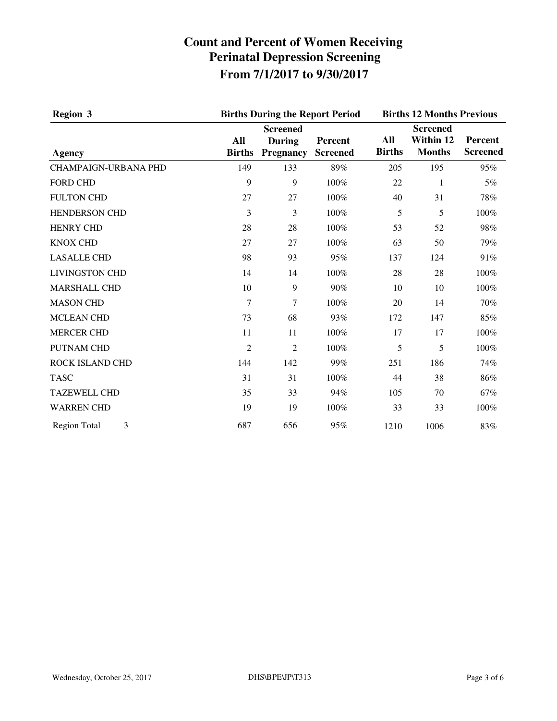| <b>Region 3</b><br>Agency   | <b>Births During the Report Period</b> | <b>Births 12 Months Previous</b>                     |                            |                      |                                               |                            |
|-----------------------------|----------------------------------------|------------------------------------------------------|----------------------------|----------------------|-----------------------------------------------|----------------------------|
|                             | All<br><b>Births</b>                   | <b>Screened</b><br><b>During</b><br><b>Pregnancy</b> | Percent<br><b>Screened</b> | All<br><b>Births</b> | <b>Screened</b><br>Within 12<br><b>Months</b> | Percent<br><b>Screened</b> |
| <b>CHAMPAIGN-URBANA PHD</b> | 149                                    | 133                                                  | 89%                        | 205                  | 195                                           | 95%                        |
| <b>FORD CHD</b>             | 9                                      | 9                                                    | 100%                       | 22                   | 1                                             | 5%                         |
| <b>FULTON CHD</b>           | 27                                     | 27                                                   | 100%                       | 40                   | 31                                            | 78%                        |
| <b>HENDERSON CHD</b>        | 3                                      | 3                                                    | 100%                       | 5                    | 5                                             | 100%                       |
| <b>HENRY CHD</b>            | 28                                     | 28                                                   | 100%                       | 53                   | 52                                            | 98%                        |
| <b>KNOX CHD</b>             | 27                                     | 27                                                   | 100%                       | 63                   | 50                                            | 79%                        |
| <b>LASALLE CHD</b>          | 98                                     | 93                                                   | 95%                        | 137                  | 124                                           | 91%                        |
| <b>LIVINGSTON CHD</b>       | 14                                     | 14                                                   | 100%                       | 28                   | 28                                            | 100%                       |
| <b>MARSHALL CHD</b>         | 10                                     | 9                                                    | 90%                        | 10                   | 10                                            | 100%                       |
| <b>MASON CHD</b>            | 7                                      | 7                                                    | 100%                       | 20                   | 14                                            | 70%                        |
| <b>MCLEAN CHD</b>           | 73                                     | 68                                                   | 93%                        | 172                  | 147                                           | 85%                        |
| <b>MERCER CHD</b>           | 11                                     | 11                                                   | 100%                       | 17                   | 17                                            | 100%                       |
| PUTNAM CHD                  | 2                                      | 2                                                    | 100%                       | 5                    | 5                                             | 100%                       |
| ROCK ISLAND CHD             | 144                                    | 142                                                  | 99%                        | 251                  | 186                                           | 74%                        |
| <b>TASC</b>                 | 31                                     | 31                                                   | 100%                       | 44                   | 38                                            | 86%                        |
| <b>TAZEWELL CHD</b>         | 35                                     | 33                                                   | 94%                        | 105                  | 70                                            | 67%                        |
| <b>WARREN CHD</b>           | 19                                     | 19                                                   | 100%                       | 33                   | 33                                            | 100%                       |
| <b>Region Total</b><br>3    | 687                                    | 656                                                  | 95%                        | 1210                 | 1006                                          | 83%                        |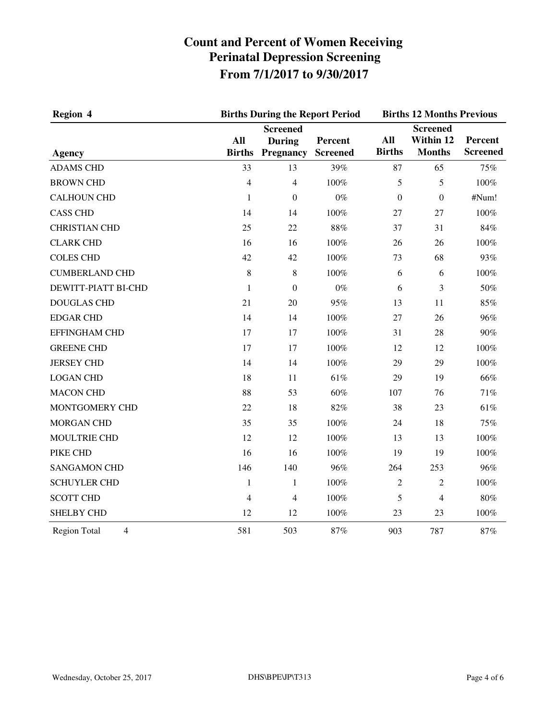| Region 4<br><b>Agency</b>             | <b>Births During the Report Period</b> | <b>Births 12 Months Previous</b>                     |                            |                      |                                               |                            |
|---------------------------------------|----------------------------------------|------------------------------------------------------|----------------------------|----------------------|-----------------------------------------------|----------------------------|
|                                       | All<br><b>Births</b>                   | <b>Screened</b><br><b>During</b><br><b>Pregnancy</b> | Percent<br><b>Screened</b> | All<br><b>Births</b> | <b>Screened</b><br>Within 12<br><b>Months</b> | Percent<br><b>Screened</b> |
| <b>ADAMS CHD</b>                      | 33                                     | 13                                                   | 39%                        | 87                   | 65                                            | 75%                        |
| <b>BROWN CHD</b>                      | $\overline{4}$                         | $\overline{4}$                                       | 100%                       | 5                    | 5                                             | 100%                       |
| <b>CALHOUN CHD</b>                    | 1                                      | $\boldsymbol{0}$                                     | $0\%$                      | $\boldsymbol{0}$     | $\boldsymbol{0}$                              | #Num!                      |
| <b>CASS CHD</b>                       | 14                                     | 14                                                   | 100%                       | 27                   | 27                                            | 100%                       |
| <b>CHRISTIAN CHD</b>                  | 25                                     | 22                                                   | 88%                        | 37                   | 31                                            | 84%                        |
| <b>CLARK CHD</b>                      | 16                                     | 16                                                   | 100%                       | 26                   | 26                                            | 100%                       |
| <b>COLES CHD</b>                      | 42                                     | 42                                                   | 100%                       | 73                   | 68                                            | 93%                        |
| <b>CUMBERLAND CHD</b>                 | 8                                      | $\,8\,$                                              | 100%                       | 6                    | 6                                             | 100%                       |
| DEWITT-PIATT BI-CHD                   | 1                                      | $\mathbf{0}$                                         | $0\%$                      | 6                    | 3                                             | 50%                        |
| <b>DOUGLAS CHD</b>                    | 21                                     | 20                                                   | 95%                        | 13                   | 11                                            | 85%                        |
| <b>EDGAR CHD</b>                      | 14                                     | 14                                                   | 100%                       | 27                   | 26                                            | 96%                        |
| <b>EFFINGHAM CHD</b>                  | 17                                     | 17                                                   | 100%                       | 31                   | 28                                            | 90%                        |
| <b>GREENE CHD</b>                     | 17                                     | 17                                                   | 100%                       | 12                   | 12                                            | 100%                       |
| <b>JERSEY CHD</b>                     | 14                                     | 14                                                   | 100%                       | 29                   | 29                                            | 100%                       |
| <b>LOGAN CHD</b>                      | 18                                     | 11                                                   | 61%                        | 29                   | 19                                            | 66%                        |
| <b>MACON CHD</b>                      | 88                                     | 53                                                   | 60%                        | 107                  | 76                                            | 71%                        |
| MONTGOMERY CHD                        | 22                                     | 18                                                   | 82%                        | 38                   | 23                                            | 61%                        |
| <b>MORGAN CHD</b>                     | 35                                     | 35                                                   | 100%                       | 24                   | 18                                            | 75%                        |
| MOULTRIE CHD                          | 12                                     | 12                                                   | 100%                       | 13                   | 13                                            | 100%                       |
| PIKE CHD                              | 16                                     | 16                                                   | 100%                       | 19                   | 19                                            | 100%                       |
| <b>SANGAMON CHD</b>                   | 146                                    | 140                                                  | 96%                        | 264                  | 253                                           | 96%                        |
| <b>SCHUYLER CHD</b>                   | $\mathbf{1}$                           | $\mathbf{1}$                                         | 100%                       | $\overline{c}$       | $\overline{2}$                                | 100%                       |
| <b>SCOTT CHD</b>                      | 4                                      | $\overline{\mathcal{L}}$                             | 100%                       | 5                    | $\overline{4}$                                | $80\%$                     |
| <b>SHELBY CHD</b>                     | 12                                     | 12                                                   | 100%                       | 23                   | 23                                            | 100%                       |
| $\overline{4}$<br><b>Region Total</b> | 581                                    | 503                                                  | 87%                        | 903                  | 787                                           | 87%                        |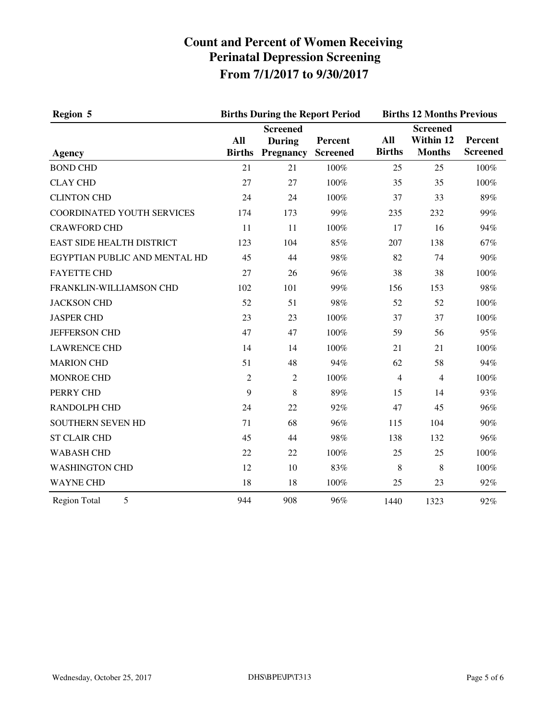| Region 5                          |                      | <b>Births During the Report Period</b>               |                            | <b>Births 12 Months Previous</b> |                                               |                            |
|-----------------------------------|----------------------|------------------------------------------------------|----------------------------|----------------------------------|-----------------------------------------------|----------------------------|
| <b>Agency</b>                     | All<br><b>Births</b> | <b>Screened</b><br><b>During</b><br><b>Pregnancy</b> | Percent<br><b>Screened</b> | All<br><b>Births</b>             | <b>Screened</b><br>Within 12<br><b>Months</b> | Percent<br><b>Screened</b> |
| <b>BOND CHD</b>                   | 21                   | 21                                                   | 100%                       | 25                               | 25                                            | 100%                       |
| <b>CLAY CHD</b>                   | 27                   | 27                                                   | 100%                       | 35                               | 35                                            | 100%                       |
| <b>CLINTON CHD</b>                | 24                   | 24                                                   | 100%                       | 37                               | 33                                            | 89%                        |
| <b>COORDINATED YOUTH SERVICES</b> | 174                  | 173                                                  | 99%                        | 235                              | 232                                           | 99%                        |
| <b>CRAWFORD CHD</b>               | 11                   | 11                                                   | 100%                       | 17                               | 16                                            | 94%                        |
| <b>EAST SIDE HEALTH DISTRICT</b>  | 123                  | 104                                                  | 85%                        | 207                              | 138                                           | 67%                        |
| EGYPTIAN PUBLIC AND MENTAL HD     | 45                   | 44                                                   | 98%                        | 82                               | 74                                            | 90%                        |
| <b>FAYETTE CHD</b>                | 27                   | 26                                                   | 96%                        | 38                               | 38                                            | 100%                       |
| FRANKLIN-WILLIAMSON CHD           | 102                  | 101                                                  | 99%                        | 156                              | 153                                           | 98%                        |
| <b>JACKSON CHD</b>                | 52                   | 51                                                   | 98%                        | 52                               | 52                                            | 100%                       |
| <b>JASPER CHD</b>                 | 23                   | 23                                                   | 100%                       | 37                               | 37                                            | 100%                       |
| <b>JEFFERSON CHD</b>              | 47                   | 47                                                   | 100%                       | 59                               | 56                                            | 95%                        |
| <b>LAWRENCE CHD</b>               | 14                   | 14                                                   | 100%                       | 21                               | 21                                            | 100%                       |
| <b>MARION CHD</b>                 | 51                   | 48                                                   | 94%                        | 62                               | 58                                            | 94%                        |
| <b>MONROE CHD</b>                 | $\overline{2}$       | $\overline{2}$                                       | 100%                       | $\overline{4}$                   | $\overline{4}$                                | 100%                       |
| PERRY CHD                         | 9                    | 8                                                    | 89%                        | 15                               | 14                                            | 93%                        |
| <b>RANDOLPH CHD</b>               | 24                   | 22                                                   | 92%                        | 47                               | 45                                            | 96%                        |
| <b>SOUTHERN SEVEN HD</b>          | 71                   | 68                                                   | 96%                        | 115                              | 104                                           | 90%                        |
| <b>ST CLAIR CHD</b>               | 45                   | 44                                                   | 98%                        | 138                              | 132                                           | 96%                        |
| <b>WABASH CHD</b>                 | 22                   | 22                                                   | 100%                       | 25                               | 25                                            | 100%                       |
| <b>WASHINGTON CHD</b>             | 12                   | 10                                                   | 83%                        | 8                                | 8                                             | 100%                       |
| <b>WAYNE CHD</b>                  | 18                   | 18                                                   | 100%                       | 25                               | 23                                            | 92%                        |
| 5<br><b>Region Total</b>          | 944                  | 908                                                  | 96%                        | 1440                             | 1323                                          | 92%                        |